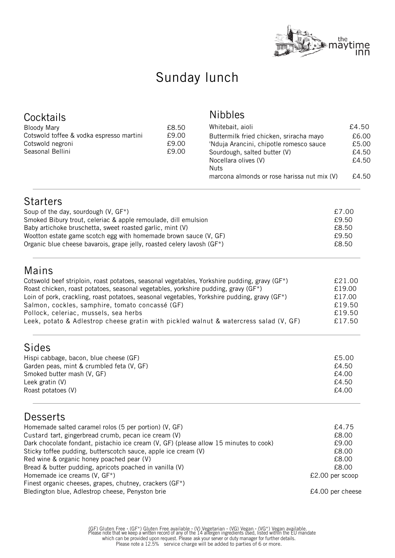

# Sunday lunch

| Cocktails<br><b>Bloody Mary</b><br>Cotswold toffee & vodka espresso martini<br>Cotswold negroni<br>Seasonal Bellini                                                                                                                                                                                                                                                                                                                                                                                                                                | £8.50<br>£9.00<br>£9.00<br>£9.00 | <b>Nibbles</b><br>Whitebait, aioli<br>Buttermilk fried chicken, sriracha mayo<br>'Nduja Arancini, chipotle romesco sauce<br>Sourdough, salted butter (V)<br>Nocellara olives (V)<br><b>Nuts</b><br>marcona almonds or rose harissa nut mix (V) | £4.50<br>£6.00<br>£5.00<br>£4.50<br>£4.50<br>£4.50                                        |
|----------------------------------------------------------------------------------------------------------------------------------------------------------------------------------------------------------------------------------------------------------------------------------------------------------------------------------------------------------------------------------------------------------------------------------------------------------------------------------------------------------------------------------------------------|----------------------------------|------------------------------------------------------------------------------------------------------------------------------------------------------------------------------------------------------------------------------------------------|-------------------------------------------------------------------------------------------|
| <b>Starters</b><br>Soup of the day, sourdough (V, GF*)<br>Smoked Bibury trout, celeriac & apple remoulade, dill emulsion<br>Baby artichoke bruschetta, sweet roasted garlic, mint (V)<br>Wootton estate game scotch egg with homemade brown sauce (V, GF)<br>Organic blue cheese bavarois, grape jelly, roasted celery lavosh (GF*)                                                                                                                                                                                                                |                                  |                                                                                                                                                                                                                                                | £7.00<br>£9.50<br>£8.50<br>£9.50<br>£8.50                                                 |
| Mains<br>Cotswold beef striploin, roast potatoes, seasonal vegetables, Yorkshire pudding, gravy (GF*)<br>Roast chicken, roast potatoes, seasonal vegetables, yorkshire pudding, gravy (GF*)<br>Loin of pork, crackling, roast potatoes, seasonal vegetables, Yorkshire pudding, gravy (GF*)<br>Salmon, cockles, samphire, tomato concassé (GF)<br>Pollock, celeriac, mussels, sea herbs<br>Leek, potato & Adlestrop cheese gratin with pickled walnut & watercress salad (V, GF)                                                                   |                                  |                                                                                                                                                                                                                                                | £21.00<br>£19.00<br>£17.00<br>£19.50<br>£19.50<br>£17.50                                  |
| Sides<br>Hispi cabbage, bacon, blue cheese (GF)<br>Garden peas, mint & crumbled feta (V, GF)<br>Smoked butter mash (V, GF)<br>Leek gratin (V)<br>Roast potatoes (V)                                                                                                                                                                                                                                                                                                                                                                                |                                  |                                                                                                                                                                                                                                                | £5.00<br>£4.50<br>£4.00<br>£4.50<br>£4.00                                                 |
| <b>Desserts</b><br>Homemade salted caramel rolos (5 per portion) (V, GF)<br>Custard tart, gingerbread crumb, pecan ice cream (V)<br>Dark chocolate fondant, pistachio ice cream (V, GF) (please allow 15 minutes to cook)<br>Sticky toffee pudding, butterscotch sauce, apple ice cream (V)<br>Red wine & organic honey poached pear (V)<br>Bread & butter pudding, apricots poached in vanilla (V)<br>Homemade ice creams (V, GF*)<br>Finest organic cheeses, grapes, chutney, crackers (GF*)<br>Bledington blue, Adlestrop cheese, Penyston brie |                                  |                                                                                                                                                                                                                                                | £4.75<br>£8.00<br>£9.00<br>£8.00<br>£8.00<br>£8.00<br>£2.00 per scoop<br>£4.00 per cheese |